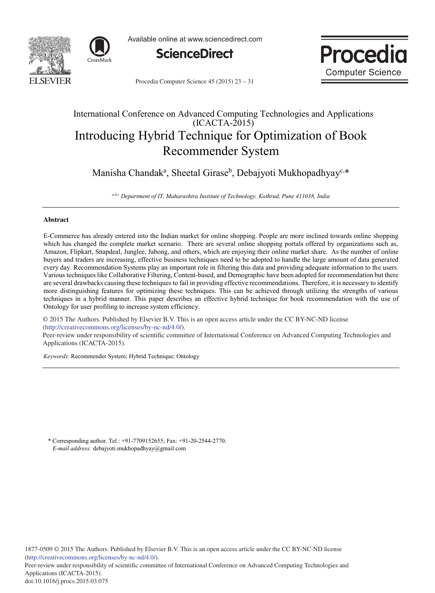



Available online at www.sciencedirect.com



Procedia Computer Science 45 (2015) 23 - 31



# International Conference on Advanced Computing Technologies and Applications  $(ICACTA-2015)$ Introducing Hybrid Technique for Optimization of Book Recommender System

Manisha Chandak<sup>a</sup>, Sheetal Girase<sup>b</sup>, Debajyoti Mukhopadhyay<sup>c,\*</sup>

*a,b,c Department of IT, Maharashtra Institute of Technology, Kothrud, Pune 411038, India*

# **Abstract**

E-Commerce has already entered into the Indian market for online shopping. People are more inclined towards online shopping which has changed the complete market scenario. There are several online shopping portals offered by organizations such as, Amazon, Flipkart, Snapdeal, Junglee, Jabong, and others, which are enjoying their online market share. As the number of online buyers and traders are increasing, effective business techniques need to be adopted to handle the large amount of data generated every day. Recommendation Systems play an important role in filtering this data and providing adequate information to the users. Various techniques like Collaborative Filtering, Content-based, and Demographic have been adopted for recommendation but there are several drawbacks causing these techniques to fail in providing effective recommendations. Therefore, it is necessary to identify more distinguishing features for optimizing these techniques. This can be achieved through utilizing the strengths of various techniques in a hybrid manner. This paper describes an effective hybrid technique for book recommendation with the use of Ontology for user profiling to increase system efficiency.

© 2015 The Authors. Published by Elsevier B.V. (http://creativecommons.org/licenses/by-nc-nd/4.0/). © 2015 The Authors. Published by Elsevier B.V. This is an open access article under the CC BY-NC-ND license

Peer-review under responsibility of scientific committee of International Conference on Advanced Computing Technologies and Applications (ICACTA-2015). Applications (ICACTA-2015).

*Keywords*: Recommender System; Hybrid Technique; Ontology

\* Corresponding author. Tel.: +91-7709152655; Fax: +91-20-2544-2770. *E-mail address:* debajyoti.mukhopadhyay@gmail.com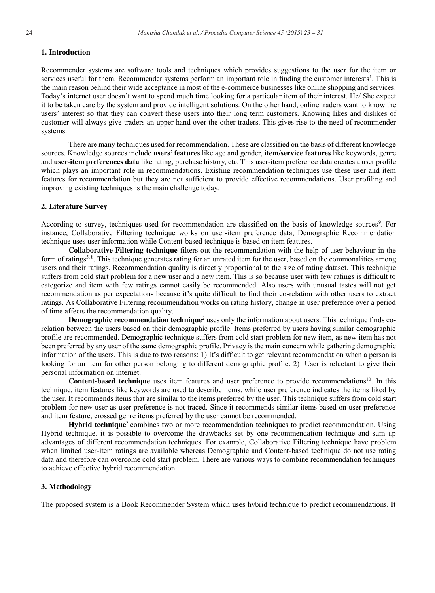# **1. Introduction**

Recommender systems are software tools and techniques which provides suggestions to the user for the item or services useful for them. Recommender systems perform an important role in finding the customer interests<sup>1</sup>. This is the main reason behind their wide acceptance in most of the e-commerce businesses like online shopping and services. Today's internet user doesn't want to spend much time looking for a particular item of their interest. He/ She expect it to be taken care by the system and provide intelligent solutions. On the other hand, online traders want to know the users' interest so that they can convert these users into their long term customers. Knowing likes and dislikes of customer will always give traders an upper hand over the other traders. This gives rise to the need of recommender systems.

There are many techniques used for recommendation. These are classified on the basis of different knowledge sources. Knowledge sources include **users' features** like age and gender, **item/service features** like keywords, genre and **user-item preferences data** like rating, purchase history, etc. This user-item preference data creates a user profile which plays an important role in recommendations. Existing recommendation techniques use these user and item features for recommendation but they are not sufficient to provide effective recommendations. User profiling and improving existing techniques is the main challenge today.

### **2. Literature Survey**

According to survey, techniques used for recommendation are classified on the basis of knowledge sources<sup>9</sup>. For instance, Collaborative Filtering technique works on user-item preference data, Demographic Recommendation technique uses user information while Content-based technique is based on item features.

**Collaborative Filtering technique** filters out the recommendation with the help of user behaviour in the form of ratings<sup>5, 8</sup>. This technique generates rating for an unrated item for the user, based on the commonalities among users and their ratings. Recommendation quality is directly proportional to the size of rating dataset. This technique suffers from cold start problem for a new user and a new item. This is so because user with few ratings is difficult to categorize and item with few ratings cannot easily be recommended. Also users with unusual tastes will not get recommendation as per expectations because it's quite difficult to find their co-relation with other users to extract ratings. As Collaborative Filtering recommendation works on rating history, change in user preference over a period of time affects the recommendation quality.

**Demographic recommendation technique**<sup>2</sup> uses only the information about users. This technique finds corelation between the users based on their demographic profile. Items preferred by users having similar demographic profile are recommended. Demographic technique suffers from cold start problem for new item, as new item has not been preferred by any user of the same demographic profile. Privacy is the main concern while gathering demographic information of the users. This is due to two reasons: 1) It's difficult to get relevant recommendation when a person is looking for an item for other person belonging to different demographic profile. 2) User is reluctant to give their personal information on internet.

**Content-based technique** uses item features and user preference to provide recommendations<sup>10</sup>. In this technique, item features like keywords are used to describe items, while user preference indicates the items liked by the user. It recommends items that are similar to the items preferred by the user. This technique suffers from cold start problem for new user as user preference is not traced. Since it recommends similar items based on user preference and item feature, crossed genre items preferred by the user cannot be recommended.

**Hybrid technique**<sup>3</sup> combines two or more recommendation techniques to predict recommendation. Using Hybrid technique, it is possible to overcome the drawbacks set by one recommendation technique and sum up advantages of different recommendation techniques. For example, Collaborative Filtering technique have problem when limited user-item ratings are available whereas Demographic and Content-based technique do not use rating data and therefore can overcome cold start problem. There are various ways to combine recommendation techniques to achieve effective hybrid recommendation.

# **3. Methodology**

The proposed system is a Book Recommender System which uses hybrid technique to predict recommendations. It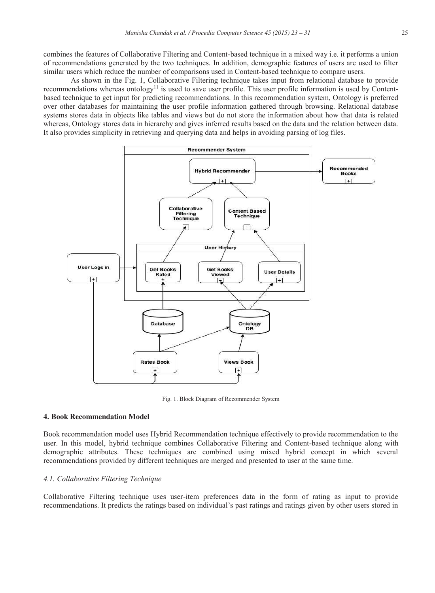combines the features of Collaborative Filtering and Content-based technique in a mixed way i.e. it performs a union of recommendations generated by the two techniques. In addition, demographic features of users are used to filter similar users which reduce the number of comparisons used in Content-based technique to compare users.

 As shown in the Fig. 1, Collaborative Filtering technique takes input from relational database to provide recommendations whereas ontology<sup>11</sup> is used to save user profile. This user profile information is used by Contentbased technique to get input for predicting recommendations. In this recommendation system, Ontology is preferred over other databases for maintaining the user profile information gathered through browsing. Relational database systems stores data in objects like tables and views but do not store the information about how that data is related whereas, Ontology stores data in hierarchy and gives inferred results based on the data and the relation between data. It also provides simplicity in retrieving and querying data and helps in avoiding parsing of log files.



Fig. 1. Block Diagram of Recommender System

# **4. Book Recommendation Model**

Book recommendation model uses Hybrid Recommendation technique effectively to provide recommendation to the user. In this model, hybrid technique combines Collaborative Filtering and Content-based technique along with demographic attributes. These techniques are combined using mixed hybrid concept in which several recommendations provided by different techniques are merged and presented to user at the same time.

# *4.1. Collaborative Filtering Technique*

Collaborative Filtering technique uses user-item preferences data in the form of rating as input to provide recommendations. It predicts the ratings based on individual's past ratings and ratings given by other users stored in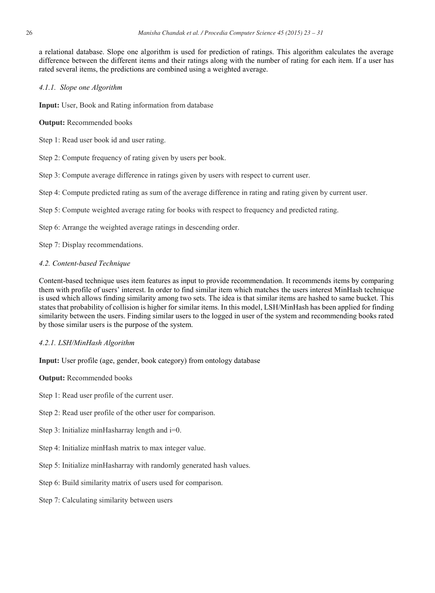a relational database. Slope one algorithm is used for prediction of ratings. This algorithm calculates the average difference between the different items and their ratings along with the number of rating for each item. If a user has rated several items, the predictions are combined using a weighted average.

### *4.1.1. Slope one Algorithm*

**Input:** User, Book and Rating information from database

**Output:** Recommended books

Step 1: Read user book id and user rating.

- Step 2: Compute frequency of rating given by users per book.
- Step 3: Compute average difference in ratings given by users with respect to current user.

Step 4: Compute predicted rating as sum of the average difference in rating and rating given by current user.

Step 5: Compute weighted average rating for books with respect to frequency and predicted rating.

Step 6: Arrange the weighted average ratings in descending order.

Step 7: Display recommendations.

# *4.2. Content-based Technique*

Content-based technique uses item features as input to provide recommendation. It recommends items by comparing them with profile of users' interest. In order to find similar item which matches the users interest MinHash technique is used which allows finding similarity among two sets. The idea is that similar items are hashed to same bucket. This states that probability of collision is higher for similar items. In this model, LSH/MinHash has been applied for finding similarity between the users. Finding similar users to the logged in user of the system and recommending books rated by those similar users is the purpose of the system.

# *4.2.1. LSH/MinHash Algorithm*

**Input:** User profile (age, gender, book category) from ontology database

**Output:** Recommended books

- Step 1: Read user profile of the current user.
- Step 2: Read user profile of the other user for comparison.
- Step 3: Initialize minHasharray length and i=0.
- Step 4: Initialize minHash matrix to max integer value.
- Step 5: Initialize minHasharray with randomly generated hash values.
- Step 6: Build similarity matrix of users used for comparison.
- Step 7: Calculating similarity between users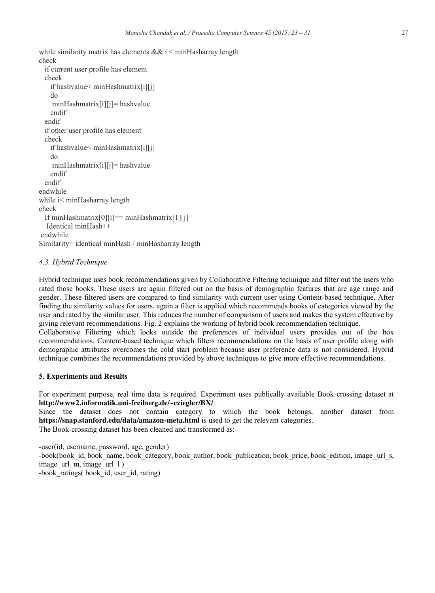```
while similarity matrix has elements &&\hat{x} i < minHasharray length
check 
   if current user profile has element 
   check 
    if hashvalue< minHashmatrix[i][j] 
    do 
     minHashmatrix[i][j]= hashvalue 
    endif 
   endif 
   if other user profile has element 
   check 
     if hashvalue< minHashmatrix[i][j] 
    do 
     minHashmatrix[i][j]= hashvalue 
     endif 
   endif 
endwhile 
while i< minHasharray length 
check 
  If minHashmatrix[0][i] == minHashmatrix[1][i] Identical minHash++ 
 endwhile 
Similarity= identical minHash / minHasharray length
```
# *4.3. Hybrid Technique*

Hybrid technique uses book recommendations given by Collaborative Filtering technique and filter out the users who rated those books. These users are again filtered out on the basis of demographic features that are age range and gender. These filtered users are compared to find similarity with current user using Content-based technique. After finding the similarity values for users, again a filter is applied which recommends books of categories viewed by the user and rated by the similar user. This reduces the number of comparison of users and makes the system effective by giving relevant recommendations. Fig. 2 explains the working of hybrid book recommendation technique. Collaborative Filtering which looks outside the preferences of individual users provides out of the box recommendations. Content-based technique which filters recommendations on the basis of user profile along with demographic attributes overcomes the cold start problem because user preference data is not considered. Hybrid technique combines the recommendations provided by above techniques to give more effective recommendations.

### **5. Experiments and Results**

For experiment purpose, real time data is required. Experiment uses publically available Book-crossing dataset at **http://www2.informatik.uni-freiburg.de/~cziegler/BX/** .

Since the dataset does not contain category to which the book belongs, another dataset from **https://snap.stanford.edu/data/amazon-meta.html** is used to get the relevant categories.

The Book-crossing dataset has been cleaned and transformed as:

-user(id, username, password, age, gender) -book(book id, book name, book category, book author, book publication, book price, book edition, image url s,  $image$  url  $m$ , image url 1) -book ratings( book id, user id, rating)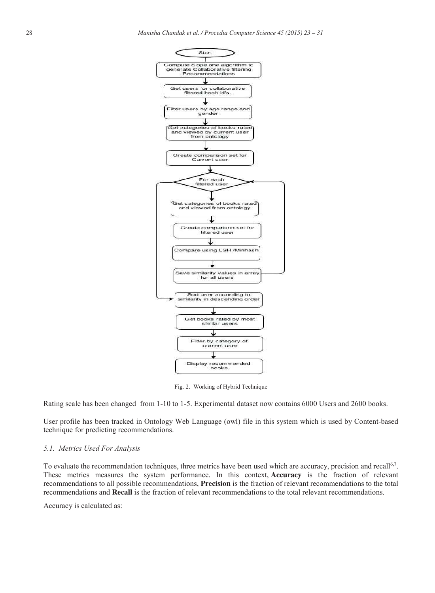

Fig. 2. Working of Hybrid Technique

Rating scale has been changed from 1-10 to 1-5. Experimental dataset now contains 6000 Users and 2600 books.

User profile has been tracked in Ontology Web Language (owl) file in this system which is used by Content-based technique for predicting recommendations.

#### *5.1. Metrics Used For Analysis*

To evaluate the recommendation techniques, three metrics have been used which are accuracy, precision and recall6,7 . These metrics measures the system performance. In this context, **Accuracy** is the fraction of relevant recommendations to all possible recommendations, **Precision** is the fraction of relevant recommendations to the total recommendations and **Recall** is the fraction of relevant recommendations to the total relevant recommendations.

Accuracy is calculated as: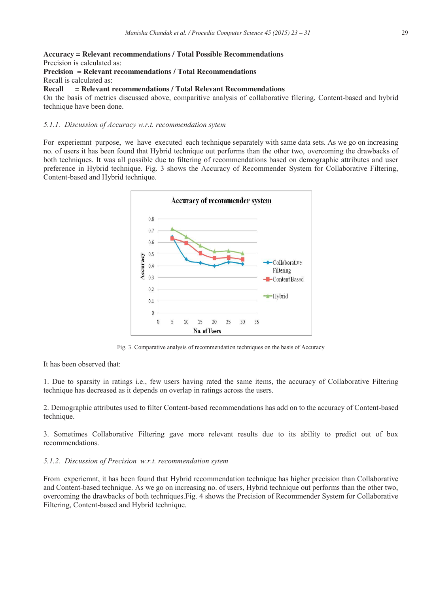# **Accuracy = Relevant recommendations / Total Possible Recommendations**  Precision is calculated as:

**Precision = Relevant recommendations / Total Recommendations**  Recall is calculated as:

#### **Recall = Relevant recommendations / Total Relevant Recommendations**

On the basis of metrics discussed above, comparitive analysis of collaborative filering, Content-based and hybrid technique have been done.

### *5.1.1. Discussion of Accuracy w.r.t. recommendation sytem*

For experiemnt purpose, we have executed each technique separately with same data sets. As we go on increasing no. of users it has been found that Hybrid technique out performs than the other two, overcoming the drawbacks of both techniques. It was all possible due to filtering of recommendations based on demographic attributes and user preference in Hybrid technique. Fig. 3 shows the Accuracy of Recommender System for Collaborative Filtering, Content-based and Hybrid technique.



Fig. 3. Comparative analysis of recommendation techniques on the basis of Accuracy

It has been observed that:

1. Due to sparsity in ratings i.e., few users having rated the same items, the accuracy of Collaborative Filtering technique has decreased as it depends on overlap in ratings across the users.

2. Demographic attributes used to filter Content-based recommendations has add on to the accuracy of Content-based technique.

3. Sometimes Collaborative Filtering gave more relevant results due to its ability to predict out of box recommendations.

# *5.1.2. Discussion of Precision w.r.t. recommendation sytem*

From experiemnt, it has been found that Hybrid recommendation technique has higher precision than Collaborative and Content-based technique. As we go on increasing no. of users, Hybrid technique out performs than the other two, overcoming the drawbacks of both techniques.Fig. 4 shows the Precision of Recommender System for Collaborative Filtering, Content-based and Hybrid technique.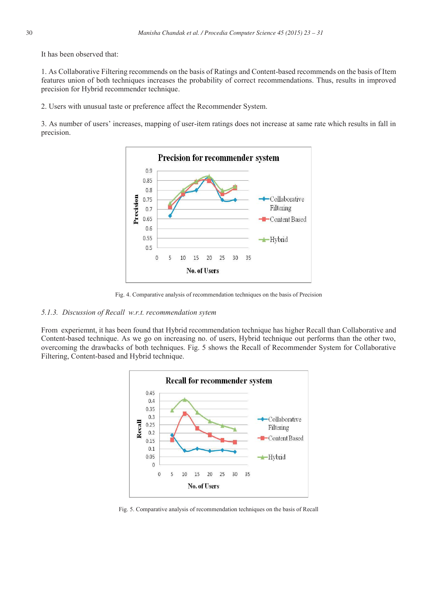It has been observed that:

1. As Collaborative Filtering recommends on the basis of Ratings and Content-based recommends on the basis of Item features union of both techniques increases the probability of correct recommendations. Thus, results in improved precision for Hybrid recommender technique.

2. Users with unusual taste or preference affect the Recommender System.

3. As number of users' increases, mapping of user-item ratings does not increase at same rate which results in fall in precision.



Fig. 4. Comparative analysis of recommendation techniques on the basis of Precision

### *5.1.3. Discussion of Recall w.r.t. recommendation sytem*

From experiemnt, it has been found that Hybrid recommendation technique has higher Recall than Collaborative and Content-based technique. As we go on increasing no. of users, Hybrid technique out performs than the other two, overcoming the drawbacks of both techniques. Fig. 5 shows the Recall of Recommender System for Collaborative Filtering, Content-based and Hybrid technique.



Fig. 5. Comparative analysis of recommendation techniques on the basis of Recall